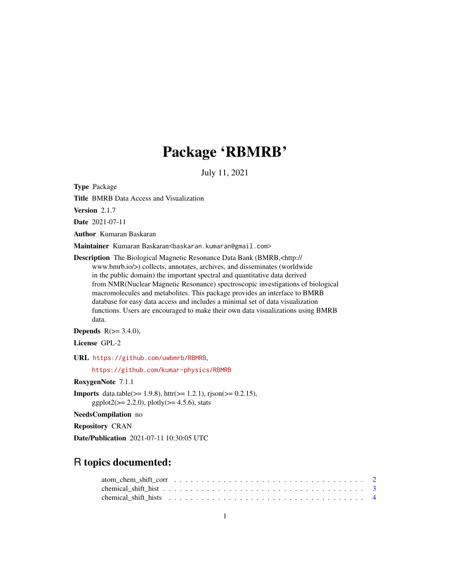## Package 'RBMRB'

July 11, 2021

Type Package

Title BMRB Data Access and Visualization

Version 2.1.7

Date 2021-07-11

Author Kumaran Baskaran

Maintainer Kumaran Baskaran<baskaran.kumaran@gmail.com>

Description The Biological Magnetic Resonance Data Bank (BMRB,<http:// www.bmrb.io/>) collects, annotates, archives, and disseminates (worldwide in the public domain) the important spectral and quantitative data derived from NMR(Nuclear Magnetic Resonance) spectroscopic investigations of biological macromolecules and metabolites. This package provides an interface to BMRB database for easy data access and includes a minimal set of data visualization functions. Users are encouraged to make their own data visualizations using BMRB data.

**Depends**  $R$ ( $>= 3.4.0$ ),

License GPL-2

URL <https://github.com/uwbmrb/RBMRB>,

<https://github.com/kumar-physics/RBMRB>

RoxygenNote 7.1.1

**Imports** data.table( $>= 1.9.8$ ), httr( $>= 1.2.1$ ), rjson( $>= 0.2.15$ ),  $ggplot2(>= 2.2.0), plotly(>= 4.5.6), stats$ 

NeedsCompilation no

Repository CRAN

Date/Publication 2021-07-11 10:30:05 UTC

## R topics documented: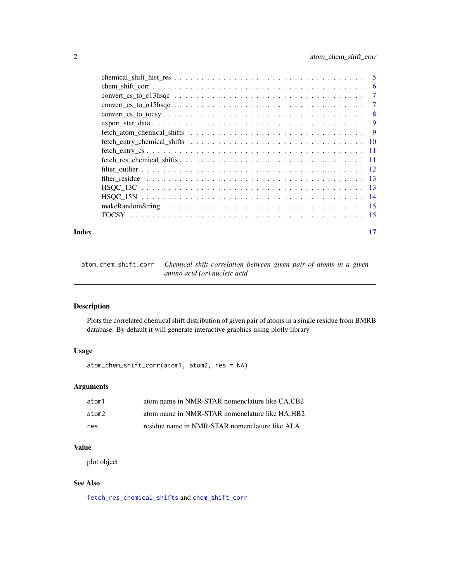<span id="page-1-0"></span>

|                                                                                                              | 6   |
|--------------------------------------------------------------------------------------------------------------|-----|
| $convert\_cs_to_c13hsqc \ldots \ldots \ldots \ldots \ldots \ldots \ldots \ldots \ldots \ldots \ldots \ldots$ | 7   |
| $convert\_cs_to_n15hsqc \dots \dots \dots \dots \dots \dots \dots \dots \dots \dots \dots \dots \dots$       | 7   |
|                                                                                                              | -8  |
|                                                                                                              | 9   |
|                                                                                                              | - 9 |
|                                                                                                              |     |
|                                                                                                              |     |
|                                                                                                              |     |
|                                                                                                              |     |
|                                                                                                              |     |
|                                                                                                              |     |
|                                                                                                              |     |
|                                                                                                              |     |
|                                                                                                              |     |
|                                                                                                              |     |

#### **Index** [17](#page-16-0)

<span id="page-1-1"></span>atom\_chem\_shift\_corr *Chemical shift correlation between given pair of atoms in a given amino acid (or) nucleic acid*

## Description

Plots the correlated chemical shift distribution of given pair of atoms in a single residue from BMRB database. By default it will generate interactive graphics using plotly library

## Usage

atom\_chem\_shift\_corr(atom1, atom2, res = NA)

## Arguments

| atom1 | atom name in NMR-STAR nomenclature like CA.CB2 |
|-------|------------------------------------------------|
| atom2 | atom name in NMR-STAR nomenclature like HA.HB2 |
| res   | residue name in NMR-STAR nomenclature like ALA |

## Value

plot object

## See Also

[fetch\\_res\\_chemical\\_shifts](#page-10-1) and [chem\\_shift\\_corr](#page-5-1)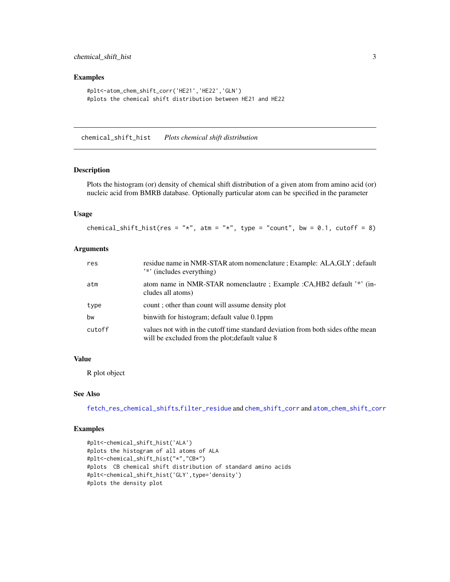#### <span id="page-2-0"></span>Examples

```
#plt<-atom_chem_shift_corr('HE21','HE22','GLN')
#plots the chemical shift distribution between HE21 and HE22
```
<span id="page-2-1"></span>chemical\_shift\_hist *Plots chemical shift distribution*

#### Description

Plots the histogram (or) density of chemical shift distribution of a given atom from amino acid (or) nucleic acid from BMRB database. Optionally particular atom can be specified in the parameter

## Usage

```
chemical_shift_hist(res = "*", atm = "*", type = "count", bw = 0.1, cutoff = 8)
```
### Arguments

| res    | residue name in NMR-STAR atom nomenclature ; Example: ALA, GLY ; default<br><sup>2</sup> *' (includes everything)                    |
|--------|--------------------------------------------------------------------------------------------------------------------------------------|
| atm    | atom name in NMR-STAR nomenclautre; Example : CA, HB2 default '*' (in-<br>cludes all atoms)                                          |
| type   | count; other than count will assume density plot                                                                                     |
| bw     | binwith for histogram; default value 0.1ppm                                                                                          |
| cutoff | values not with in the cutoff time standard deviation from both sides of the mean<br>will be excluded from the plot; default value 8 |

#### Value

R plot object

#### See Also

[fetch\\_res\\_chemical\\_shifts](#page-10-1),[filter\\_residue](#page-12-1) and [chem\\_shift\\_corr](#page-5-1) and [atom\\_chem\\_shift\\_corr](#page-1-1)

```
#plt<-chemical_shift_hist('ALA')
#plots the histogram of all atoms of ALA
#plt<-chemical_shift_hist("*","CB*")
#plots CB chemical shift distribution of standard amino acids
#plt<-chemical_shift_hist('GLY',type='density')
#plots the density plot
```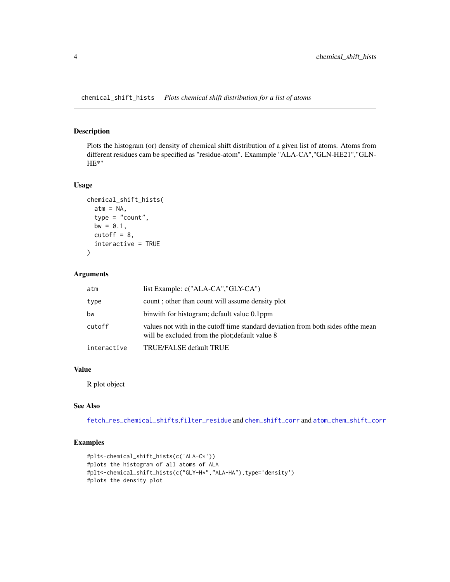<span id="page-3-0"></span>chemical\_shift\_hists *Plots chemical shift distribution for a list of atoms*

## Description

Plots the histogram (or) density of chemical shift distribution of a given list of atoms. Atoms from different residues cam be specified as "residue-atom". Exammple "ALA-CA","GLN-HE21","GLN-HE\*"

#### Usage

```
chemical_shift_hists(
  atm = NA,
  type = "count",
 bw = 0.1,
  cutoff = 8,
  interactive = TRUE
)
```
## Arguments

| atm         | list Example: c("ALA-CA","GLY-CA")                                                                                                   |
|-------------|--------------------------------------------------------------------------------------------------------------------------------------|
| type        | count; other than count will assume density plot                                                                                     |
| bw          | binwith for histogram; default value 0.1ppm                                                                                          |
| cutoff      | values not with in the cutoff time standard deviation from both sides of the mean<br>will be excluded from the plot; default value 8 |
| interactive | TRUE/FALSE default TRUE                                                                                                              |

## Value

R plot object

## See Also

[fetch\\_res\\_chemical\\_shifts](#page-10-1),[filter\\_residue](#page-12-1) and [chem\\_shift\\_corr](#page-5-1) and [atom\\_chem\\_shift\\_corr](#page-1-1)

```
#plt<-chemical_shift_hists(c('ALA-C*'))
#plots the histogram of all atoms of ALA
#plt<-chemical_shift_hists(c("GLY-H*","ALA-HA"),type='density')
#plots the density plot
```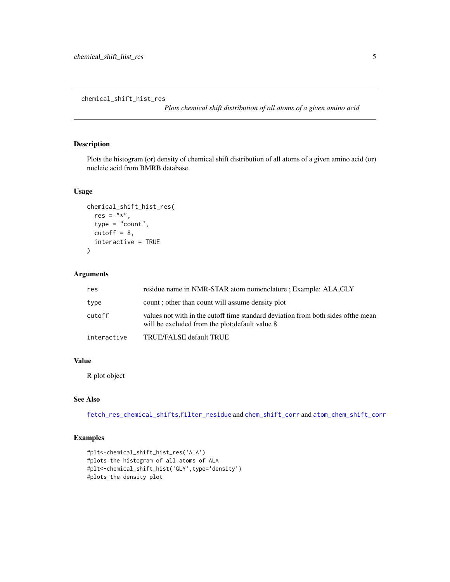<span id="page-4-0"></span>chemical\_shift\_hist\_res

*Plots chemical shift distribution of all atoms of a given amino acid*

## Description

Plots the histogram (or) density of chemical shift distribution of all atoms of a given amino acid (or) nucleic acid from BMRB database.

## Usage

```
chemical_shift_hist_res(
  res = "*",
  type = "count",
  cutoff = 8,
  interactive = TRUE
\mathcal{E}
```
#### Arguments

| res         | residue name in NMR-STAR atom nomenclature ; Example: ALA, GLY                                                                       |
|-------------|--------------------------------------------------------------------------------------------------------------------------------------|
| type        | count; other than count will assume density plot                                                                                     |
| cutoff      | values not with in the cutoff time standard deviation from both sides of the mean<br>will be excluded from the plot; default value 8 |
| interactive | TRUE/FALSE default TRUE                                                                                                              |

## Value

R plot object

## See Also

[fetch\\_res\\_chemical\\_shifts](#page-10-1),[filter\\_residue](#page-12-1) and [chem\\_shift\\_corr](#page-5-1) and [atom\\_chem\\_shift\\_corr](#page-1-1)

```
#plt<-chemical_shift_hist_res('ALA')
#plots the histogram of all atoms of ALA
#plt<-chemical_shift_hist('GLY',type='density')
#plots the density plot
```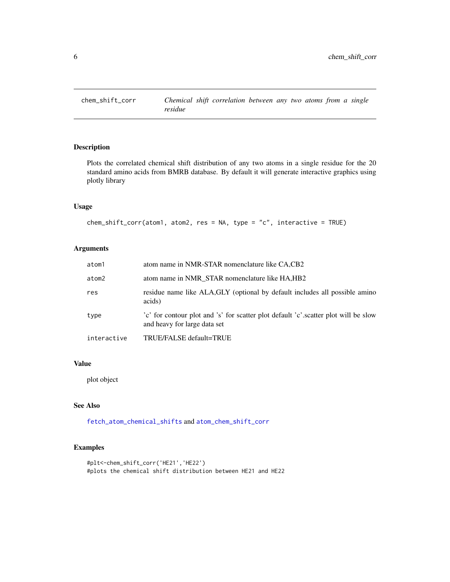<span id="page-5-1"></span><span id="page-5-0"></span>

## Description

Plots the correlated chemical shift distribution of any two atoms in a single residue for the 20 standard amino acids from BMRB database. By default it will generate interactive graphics using plotly library

#### Usage

```
chem_shift_corr(atom1, atom2, res = NA, type = "c", interactive = TRUE)
```
## Arguments

| atom1       | atom name in NMR-STAR nomenclature like CA,CB2                                                                      |
|-------------|---------------------------------------------------------------------------------------------------------------------|
| atom2       | atom name in NMR STAR nomenclature like HA, HB2                                                                     |
| res         | residue name like ALA, GLY (optional by default includes all possible amino<br>acids)                               |
| type        | 'c' for contour plot and 's' for scatter plot default 'c' scatter plot will be slow<br>and heavy for large data set |
| interactive | TRUE/FALSE default=TRUE                                                                                             |

## Value

plot object

## See Also

[fetch\\_atom\\_chemical\\_shifts](#page-8-1) and [atom\\_chem\\_shift\\_corr](#page-1-1)

```
#plt<-chem_shift_corr('HE21','HE22')
#plots the chemical shift distribution between HE21 and HE22
```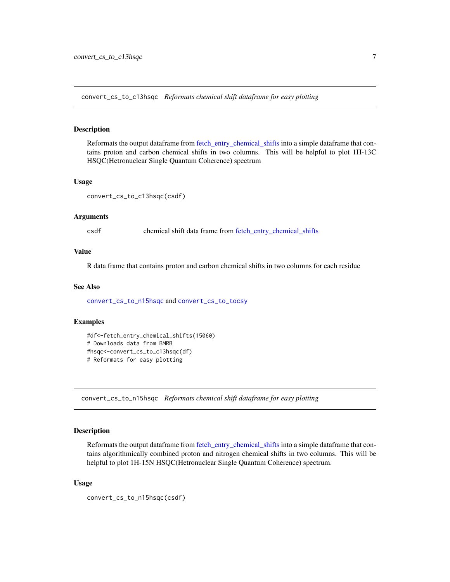<span id="page-6-2"></span><span id="page-6-0"></span>convert\_cs\_to\_c13hsqc *Reformats chemical shift dataframe for easy plotting*

## Description

Reformats the output dataframe from fetch entry chemical shifts into a simple dataframe that contains proton and carbon chemical shifts in two columns. This will be helpful to plot 1H-13C HSQC(Hetronuclear Single Quantum Coherence) spectrum

#### Usage

convert\_cs\_to\_c13hsqc(csdf)

#### Arguments

csdf chemical shift data frame from [fetch\\_entry\\_chemical\\_shifts](#page-9-1)

### Value

R data frame that contains proton and carbon chemical shifts in two columns for each residue

#### See Also

[convert\\_cs\\_to\\_n15hsqc](#page-6-1) and [convert\\_cs\\_to\\_tocsy](#page-7-1)

#### Examples

```
#df<-fetch_entry_chemical_shifts(15060)
# Downloads data from BMRB
#hsqc<-convert_cs_to_c13hsqc(df)
# Reformats for easy plotting
```
<span id="page-6-1"></span>convert\_cs\_to\_n15hsqc *Reformats chemical shift dataframe for easy plotting*

#### Description

Reformats the output dataframe from [fetch\\_entry\\_chemical\\_shifts](#page-9-1) into a simple dataframe that contains algorithmically combined proton and nitrogen chemical shifts in two columns. This will be helpful to plot 1H-15N HSQC(Hetronuclear Single Quantum Coherence) spectrum.

#### Usage

```
convert_cs_to_n15hsqc(csdf)
```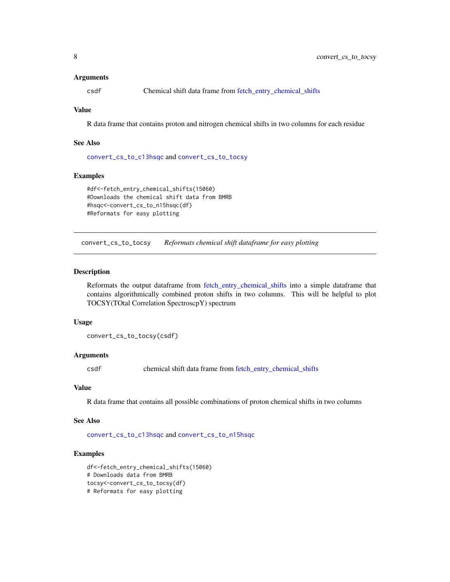#### <span id="page-7-0"></span>Arguments

csdf Chemical shift data frame from [fetch\\_entry\\_chemical\\_shifts](#page-9-1)

## Value

R data frame that contains proton and nitrogen chemical shifts in two columns for each residue

#### See Also

[convert\\_cs\\_to\\_c13hsqc](#page-6-2) and [convert\\_cs\\_to\\_tocsy](#page-7-1)

#### Examples

```
#df<-fetch_entry_chemical_shifts(15060)
#Downloads the chemical shift data from BMRB
#hsqc<-convert_cs_to_n15hsqc(df)
#Reformats for easy plotting
```
<span id="page-7-1"></span>convert\_cs\_to\_tocsy *Reformats chemical shift dataframe for easy plotting*

#### Description

Reformats the output dataframe from [fetch\\_entry\\_chemical\\_shifts](#page-9-1) into a simple dataframe that contains algorithmically combined proton shifts in two columns. This will be helpful to plot TOCSY(TOtal Correlation SpectroscpY) spectrum

#### Usage

convert\_cs\_to\_tocsy(csdf)

## Arguments

csdf chemical shift data frame from [fetch\\_entry\\_chemical\\_shifts](#page-9-1)

## Value

R data frame that contains all possible combinations of proton chemical shifts in two columns

#### See Also

[convert\\_cs\\_to\\_c13hsqc](#page-6-2) and [convert\\_cs\\_to\\_n15hsqc](#page-6-1)

```
df<-fetch_entry_chemical_shifts(15060)
# Downloads data from BMRB
tocsy<-convert_cs_to_tocsy(df)
# Reformats for easy plotting
```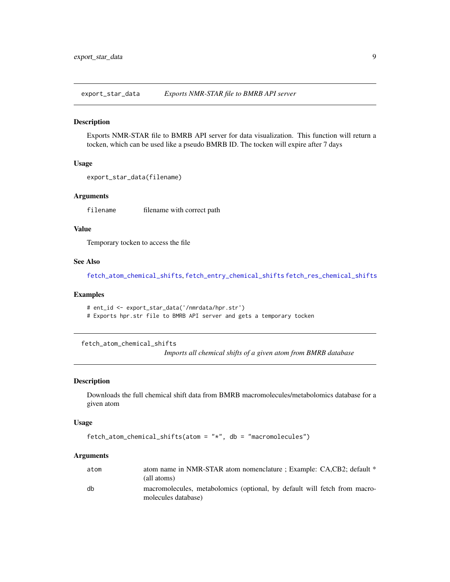<span id="page-8-0"></span>export\_star\_data *Exports NMR-STAR file to BMRB API server*

#### Description

Exports NMR-STAR file to BMRB API server for data visualization. This function will return a tocken, which can be used like a pseudo BMRB ID. The tocken will expire after 7 days

#### Usage

```
export_star_data(filename)
```
#### **Arguments**

filename filename with correct path

#### Value

Temporary tocken to access the file

#### See Also

[fetch\\_atom\\_chemical\\_shifts](#page-8-1), [fetch\\_entry\\_chemical\\_shifts](#page-9-1) [fetch\\_res\\_chemical\\_shifts](#page-10-1)

## Examples

```
# ent_id <- export_star_data('/nmrdata/hpr.str')
```
# Exports hpr.str file to BMRB API server and gets a temporary tocken

<span id="page-8-1"></span>fetch\_atom\_chemical\_shifts

*Imports all chemical shifts of a given atom from BMRB database*

### Description

Downloads the full chemical shift data from BMRB macromolecules/metabolomics database for a given atom

#### Usage

```
fetch_atom_chemical_shifts(atom = "*", db = "macromolecules")
```
#### Arguments

| atom | atom name in NMR-STAR atom nomenclature ; Example: CA,CB2; default *<br>(all atoms)              |
|------|--------------------------------------------------------------------------------------------------|
| db   | macromolecules, metabolomics (optional, by default will fetch from macro-<br>molecules database) |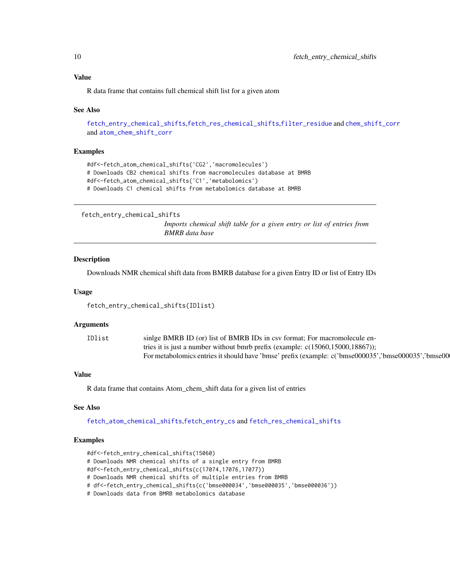## <span id="page-9-0"></span>Value

R data frame that contains full chemical shift list for a given atom

#### See Also

```
fetch_entry_chemical_shifts,fetch_res_chemical_shifts,filter_residue and chem_shift_corr
and atom_chem_shift_corr
```
#### Examples

```
#df<-fetch_atom_chemical_shifts('CG2','macromolecules')
# Downloads CB2 chemical shifts from macromolecules database at BMRB
#df<-fetch_atom_chemical_shifts('C1','metabolomics')
# Downloads C1 chemical shifts from metabolomics database at BMRB
```

```
fetch_entry_chemical_shifts
```
*Imports chemical shift table for a given entry or list of entries from BMRB data base*

#### Description

Downloads NMR chemical shift data from BMRB database for a given Entry ID or list of Entry IDs

#### Usage

fetch\_entry\_chemical\_shifts(IDlist)

#### Arguments

| IDlist | single BMRB ID (or) list of BMRB IDs in csv format; For macromolecule en-                           |
|--------|-----------------------------------------------------------------------------------------------------|
|        | tries it is just a number without bmrb prefix (example: $c(15060, 15000, 18867)$ );                 |
|        | For metabolomics entries it should have 'bmse' prefix (example: c('bmse000035','bmse000035','bmse00 |

#### Value

R data frame that contains Atom\_chem\_shift data for a given list of entries

#### See Also

[fetch\\_atom\\_chemical\\_shifts](#page-8-1),[fetch\\_entry\\_cs](#page-10-2) and [fetch\\_res\\_chemical\\_shifts](#page-10-1)

```
#df<-fetch_entry_chemical_shifts(15060)
# Downloads NMR chemical shifts of a single entry from BMRB
#df<-fetch_entry_chemical_shifts(c(17074,17076,17077))
# Downloads NMR chemical shifts of multiple entries from BMRB
# df<-fetch_entry_chemical_shifts(c('bmse000034','bmse000035','bmse000036'))
# Downloads data from BMRB metabolomics database
```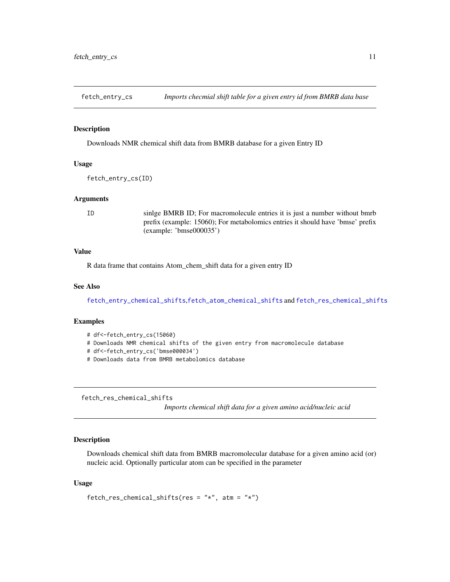<span id="page-10-2"></span><span id="page-10-0"></span>

## **Description**

Downloads NMR chemical shift data from BMRB database for a given Entry ID

#### Usage

fetch\_entry\_cs(ID)

#### Arguments

ID sinlge BMRB ID; For macromolecule entries it is just a number without bmrb prefix (example: 15060); For metabolomics entries it should have 'bmse' prefix (example: 'bmse000035')

#### Value

R data frame that contains Atom\_chem\_shift data for a given entry ID

### See Also

[fetch\\_entry\\_chemical\\_shifts](#page-9-1),[fetch\\_atom\\_chemical\\_shifts](#page-8-1) and [fetch\\_res\\_chemical\\_shifts](#page-10-1)

#### Examples

- # df<-fetch\_entry\_cs(15060)
- # Downloads NMR chemical shifts of the given entry from macromolecule database
- # df<-fetch\_entry\_cs('bmse000034')
- # Downloads data from BMRB metabolomics database

<span id="page-10-1"></span>fetch\_res\_chemical\_shifts

*Imports chemical shift data for a given amino acid/nucleic acid*

#### Description

Downloads chemical shift data from BMRB macromolecular database for a given amino acid (or) nucleic acid. Optionally particular atom can be specified in the parameter

#### Usage

```
fetch_res_chemical_shifts(res = "*", atm = "*")
```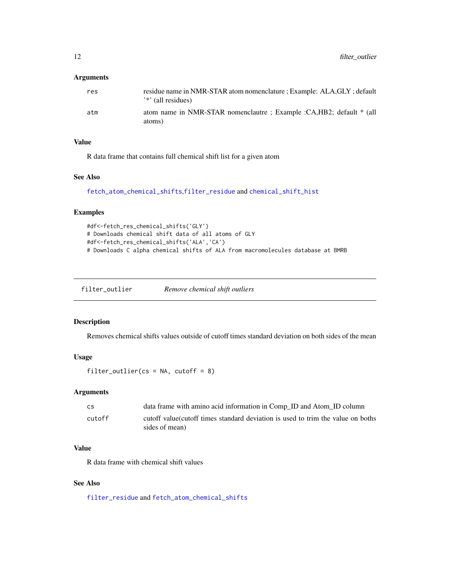## <span id="page-11-0"></span>Arguments

| res | residue name in NMR-STAR atom nomenclature ; Example: ALA, GLY ; default<br><sup>'*'</sup> (all residues) |
|-----|-----------------------------------------------------------------------------------------------------------|
| atm | atom name in NMR-STAR nomenclautre ; Example :CA,HB2; default * (all<br>atoms)                            |

## Value

R data frame that contains full chemical shift list for a given atom

## See Also

[fetch\\_atom\\_chemical\\_shifts](#page-8-1),[filter\\_residue](#page-12-1) and [chemical\\_shift\\_hist](#page-2-1)

## Examples

```
#df<-fetch_res_chemical_shifts('GLY')
# Downloads chemical shift data of all atoms of GLY
#df<-fetch_res_chemical_shifts('ALA','CA')
# Downloads C alpha chemical shifts of ALA from macromolecules database at BMRB
```
<span id="page-11-1"></span>filter\_outlier *Remove chemical shift outliers*

## Description

Removes chemical shifts values outside of cutoff times standard deviation on both sides of the mean

#### Usage

filter\_outlier( $cs = NA$ , cutoff = 8)

## Arguments

| <b>CS</b> | data frame with amino acid information in Comp_ID and Atom_ID column                               |
|-----------|----------------------------------------------------------------------------------------------------|
| cutoff    | cutoff value (cutoff times standard deviation is used to trim the value on boths<br>sides of mean) |

## Value

R data frame with chemical shift values

#### See Also

[filter\\_residue](#page-12-1) and [fetch\\_atom\\_chemical\\_shifts](#page-8-1)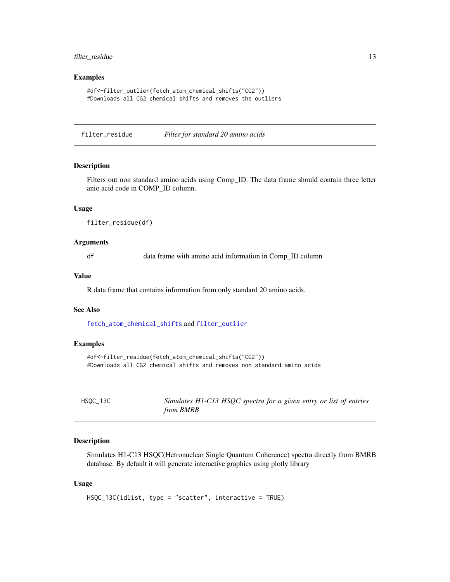## <span id="page-12-0"></span>filter\_residue 13

#### Examples

```
#df<-filter_outlier(fetch_atom_chemical_shifts("CG2"))
#Downloads all CG2 chemical shifts and removes the outliers
```
<span id="page-12-1"></span>filter\_residue *Filter for standard 20 amino acids*

## Description

Filters out non standard amino acids using Comp\_ID. The data frame should contain three letter anio acid code in COMP\_ID column.

## Usage

```
filter_residue(df)
```
#### Arguments

df data frame with amino acid information in Comp\_ID column

#### Value

R data frame that contains information from only standard 20 amino acids.

#### See Also

[fetch\\_atom\\_chemical\\_shifts](#page-8-1) and [filter\\_outlier](#page-11-1)

## Examples

```
#df<-filter_residue(fetch_atom_chemical_shifts("CG2"))
#Downloads all CG2 chemical shifts and removes non standard amino acids
```
<span id="page-12-2"></span>

| HSOC_13C | Simulates H1-C13 HSQC spectra for a given entry or list of entries |
|----------|--------------------------------------------------------------------|
|          | from BMRB                                                          |

## Description

Simulates H1-C13 HSQC(Hetronuclear Single Quantum Coherence) spectra directly from BMRB database. By default it will generate interactive graphics using plotly library

#### Usage

HSQC\_13C(idlist, type = "scatter", interactive = TRUE)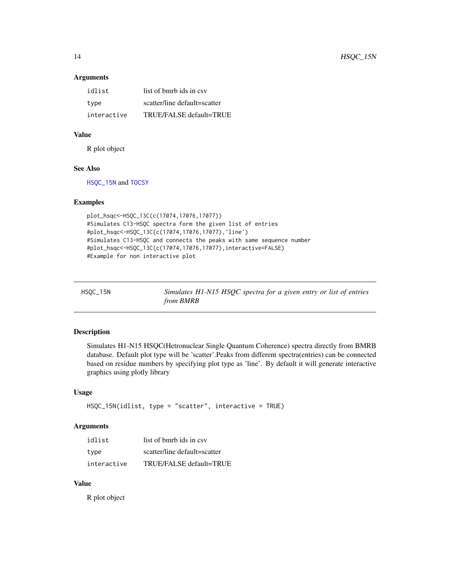#### Arguments

| idlist      | list of bmrb ids in csv      |
|-------------|------------------------------|
| type        | scatter/line default=scatter |
| interactive | TRUE/FALSE default=TRUE      |

## Value

R plot object

### See Also

[HSQC\\_15N](#page-13-1) and [TOCSY](#page-14-1)

## Examples

```
plot_hsqc<-HSQC_13C(c(17074,17076,17077))
#Simulates C13-HSQC spectra form the given list of entries
#plot_hsqc<-HSQC_13C(c(17074,17076,17077),'line')
#Simulates C13-HSQC and connects the peaks with same sequence number
#plot_hsqc<-HSQC_13C(c(17074,17076,17077),interactive=FALSE)
#Example for non interactive plot
```
<span id="page-13-1"></span>

| HSOC_15N | Simulates H1-N15 HSQC spectra for a given entry or list of entries |
|----------|--------------------------------------------------------------------|
|          | <i>from BMRB</i>                                                   |

## Description

Simulates H1-N15 HSQC(Hetronuclear Single Quantum Coherence) spectra directly from BMRB database. Default plot type will be 'scatter'.Peaks from different spectra(entries) can be connected based on residue numbers by specifying plot type as 'line'. By default it will generate interactive graphics using plotly library

## Usage

```
HSQC_15N(idlist, type = "scatter", interactive = TRUE)
```
## Arguments

| idlist      | list of bmrb ids in csy      |
|-------------|------------------------------|
| type        | scatter/line default=scatter |
| interactive | TRUE/FALSE default=TRUE      |

## Value

R plot object

<span id="page-13-0"></span>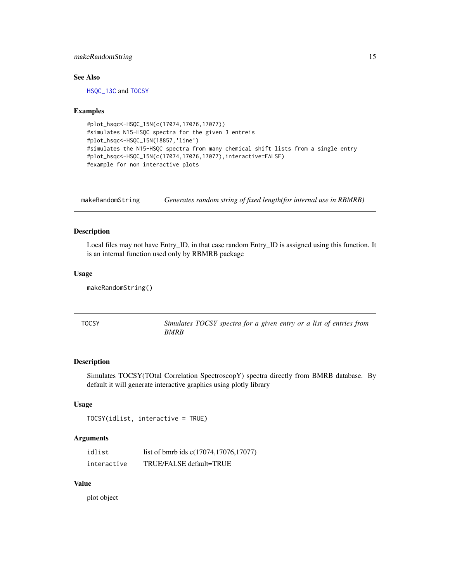## <span id="page-14-0"></span>makeRandomString 15

## See Also

[HSQC\\_13C](#page-12-2) and [TOCSY](#page-14-1)

#### Examples

```
#plot_hsqc<-HSQC_15N(c(17074,17076,17077))
#simulates N15-HSQC spectra for the given 3 entreis
#plot_hsqc<-HSQC_15N(18857,'line')
#simulates the N15-HSQC spectra from many chemical shift lists from a single entry
#plot_hsqc<-HSQC_15N(c(17074,17076,17077),interactive=FALSE)
#example for non interactive plots
```
makeRandomString *Generates random string of fixed length(for internal use in RBMRB)*

## Description

Local files may not have Entry\_ID, in that case random Entry\_ID is assigned using this function. It is an internal function used only by RBMRB package

#### Usage

```
makeRandomString()
```
<span id="page-14-1"></span>

| TOCSY | Simulates TOCSY spectra for a given entry or a list of entries from |
|-------|---------------------------------------------------------------------|
|       | <i>BMRB</i>                                                         |

## Description

Simulates TOCSY(TOtal Correlation SpectroscopY) spectra directly from BMRB database. By default it will generate interactive graphics using plotly library

## Usage

```
TOCSY(idlist, interactive = TRUE)
```
#### Arguments

| idlist      | list of bmrb ids c(17074,17076,17077) |
|-------------|---------------------------------------|
| interactive | TRUE/FALSE default=TRUE               |

## Value

plot object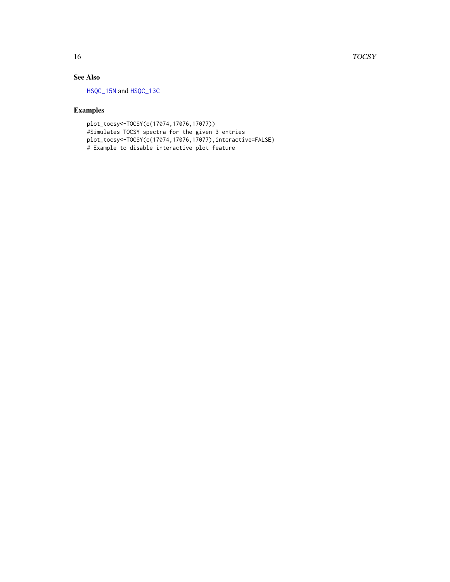### <span id="page-15-0"></span>16 TOCSY

## See Also

[HSQC\\_15N](#page-13-1) and [HSQC\\_13C](#page-12-2)

## Examples

plot\_tocsy<-TOCSY(c(17074,17076,17077)) #Simulates TOCSY spectra for the given 3 entries plot\_tocsy<-TOCSY(c(17074,17076,17077),interactive=FALSE) # Example to disable interactive plot feature